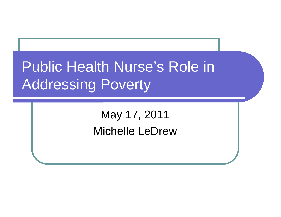# Public Health Nurse's Role in Addressing Poverty

May 17, 2011 Michelle LeDrew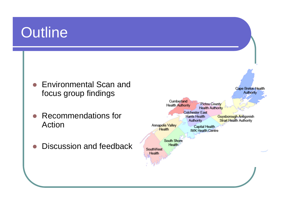#### **Outline**

- Environmental Scan and focus group findings
- O Recommendations for Action
- O Discussion and feedback

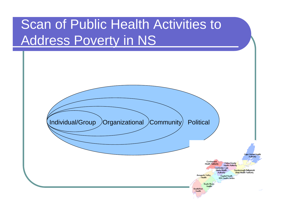#### Scan of Public Health Activities to Address Poverty in NS

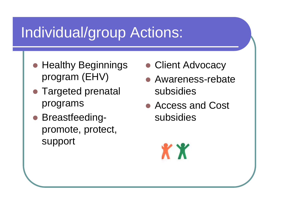## Individual/group Actions:

- Healthy Beginnings program (EHV)
- Targeted prenatal programs
- Breastfeedingpromote, protect, support
- Client Advocacy
- Awareness-rebate subsidies
- Access and Cost subsidies

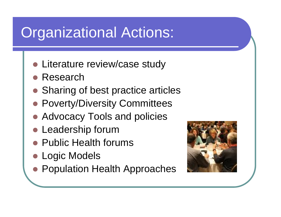## Organizational Actions:

- Literature review/case study
- Research
- Sharing of best practice articles
- **Poverty/Diversity Committees**
- Advocacy Tools and policies
- Leadership forum
- Public Health forums
- **Logic Models**
- Population Health Approaches

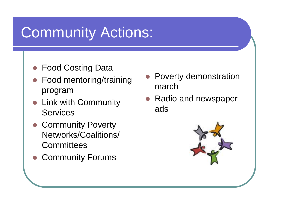## Community Actions:

- **Food Costing Data**
- Food mentoring/training program
- Link with Community Services
- Community Poverty Networks/Coalitions/ **Committees**
- **Community Forums**
- O Poverty demonstration march
- Radio and newspaper ads

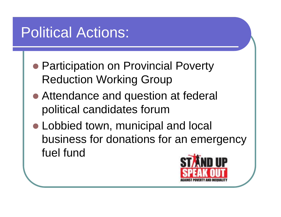## Political Actions:

- Participation on Provincial Poverty Reduction Working Group
- Attendance and question at federal political candidates forum
- Lobbied town, municipal and local [business for donations for an emergency](http://www.icpj.net/blog/wp-content/uploads/2007/10/suso_logo_eng_gcap.jpg)  fuel fund

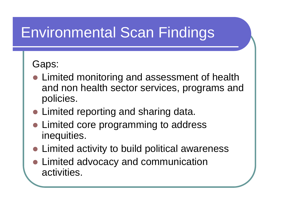## Environmental Scan Findings

#### Gaps:

- Limited monitoring and assessment of health and non health sector services, programs and policies.
- Limited reporting and sharing data.
- Limited core programming to address inequities.
- Limited activity to build political awareness
- Limited advocacy and communication activities.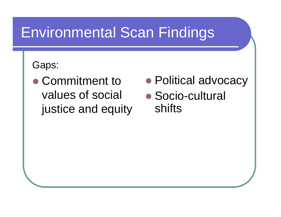## Environmental Scan Findings

#### Gaps:

- Commitment to values of social justice and equity
- Political advocacy
- Socio-cultural shifts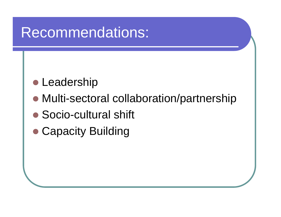#### Recommendations:

- Leadership
- Multi-sectoral collaboration/partnership
- Socio-cultural shift
- Capacity Building